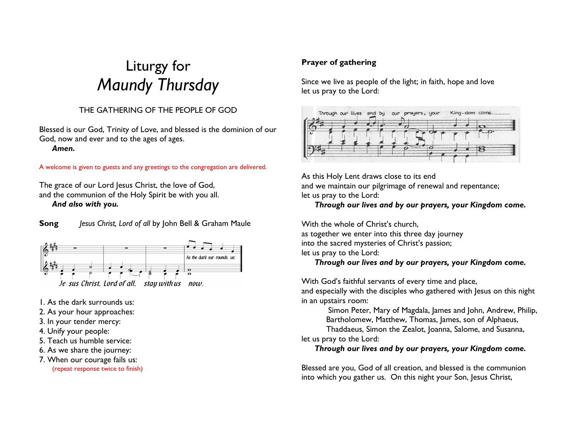# Liturgy for Maundy Thursday

# THE GATHERING OF THE PEOPLE OF GOD

Blessed is our God, Trinity of Love, and blessed is the dominion of our God, now and ever and to the ages of ages.

Amen.

A welcome is given to guests and any greetings to the congregation are delivered.

The grace of our Lord Jesus Christ, the love of God, and the communion of the Holy Spirit be with you all. And also with you.

**Song** Jesus Christ, Lord of all by John Bell & Graham Maule



1. As the dark surrounds us:

2. As your hour approaches:

- 3. In your tender mercy:
- 4. Unify your people:
- 5. Teach us humble service:
- 6. As we share the journey:
- 7. When our courage fails us: (repeat response twice to finish)

# Prayer of gathering

Since we live as people of the light; in faith, hope and love let us pray to the Lord:



As this Holy Lent draws close to its end and we maintain our pilgrimage of renewal and repentance; let us pray to the Lord:

# Through our lives and by our prayers, your Kingdom come.

With the whole of Christ's church, as together we enter into this three day journey into the sacred mysteries of Christ's passion; let us pray to the Lord: Through our lives and by our prayers, your Kingdom come.

With God's faithful servants of every time and place,

 and especially with the disciples who gathered with Jesus on this night in an upstairs room:

 Simon Peter, Mary of Magdala, James and John, Andrew, Philip, Bartholomew, Matthew, Thomas, James, son of Alphaeus,

Thaddaeus, Simon the Zealot, Joanna, Salome, and Susanna,

let us pray to the Lord:

Through our lives and by our prayers, your Kingdom come.

Blessed are you, God of all creation, and blessed is the communion into which you gather us. On this night your Son, Jesus Christ,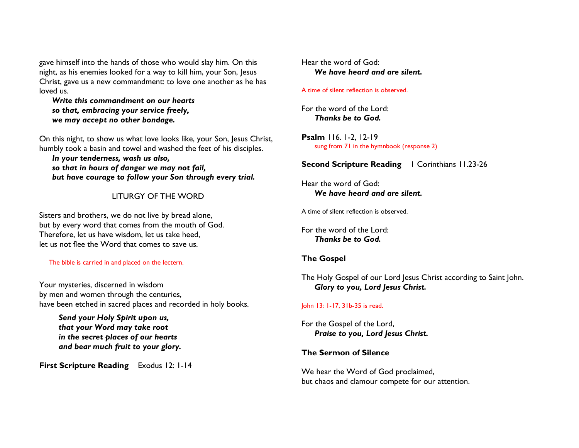gave himself into the hands of those who would slay him. On this night, as his enemies looked for a way to kill him, your Son, Jesus Christ, gave us a new commandment: to love one another as he has loved us.

 Write this commandment on our hearts so that, embracing your service freely, we may accept no other bondage.

On this night, to show us what love looks like, your Son, Jesus Christ, humbly took a basin and towel and washed the feet of his disciples.

 In your tenderness, wash us also, so that in hours of danger we may not fail, but have courage to follow your Son through every trial.

# LITURGY OF THE WORD

Sisters and brothers, we do not live by bread alone, but by every word that comes from the mouth of God. Therefore, let us have wisdom, let us take heed, let us not flee the Word that comes to save us.

#### The bible is carried in and placed on the lectern.

Your mysteries, discerned in wisdom by men and women through the centuries, have been etched in sacred places and recorded in holy books.

Send your Holy Spirit upon us, that your Word may take root in the secret places of our hearts and bear much fruit to your glory.

First Scripture Reading Exodus 12: 1-14

## Hear the word of God: We have heard and are silent.

#### A time of silent reflection is observed.

For the word of the Lord: Thanks be to God.

Psalm 116. 1-2, 12-19 sung from 71 in the hymnbook (response 2)

## **Second Scripture Reading 1 Corinthians 11.23-26**

Hear the word of God: We have heard and are silent.

A time of silent reflection is observed.

For the word of the Lord: Thanks be to God.

## The Gospel

The Holy Gospel of our Lord Jesus Christ according to Saint John. Glory to you, Lord Jesus Christ.

#### John 13: 1-17, 31b-35 is read.

For the Gospel of the Lord, Praise to you, Lord Jesus Christ.

#### The Sermon of Silence

We hear the Word of God proclaimed, but chaos and clamour compete for our attention.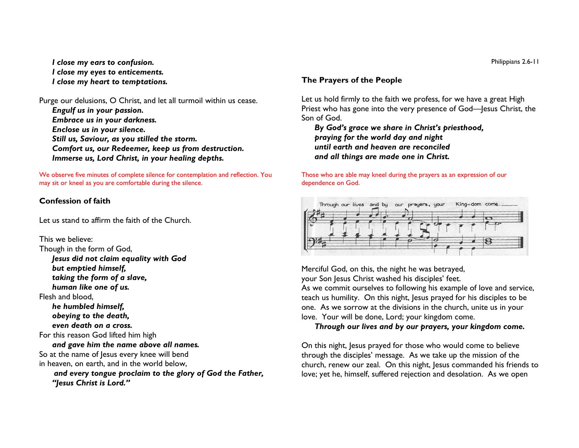I close my ears to confusion. I close my eyes to enticements. I close my heart to temptations.

Purge our delusions, O Christ, and let all turmoil within us cease.

 Engulf us in your passion. Embrace us in your darkness. Enclose us in your silence. Still us, Saviour, as you stilled the storm. Comfort us, our Redeemer, keep us from destruction. Immerse us, Lord Christ, in your healing depths.

We observe five minutes of complete silence for contemplation and reflection. You may sit or kneel as you are comfortable during the silence.

# Confession of faith

Let us stand to affirm the faith of the Church.

This we believe: Though in the form of God, Jesus did not claim equality with God but emptied himself, taking the form of a slave, human like one of us. Flesh and blood, he humbled himself, obeying to the death, even death on a cross. For this reason God lifted him high and gave him the name above all names. So at the name of Jesus every knee will bend in heaven, on earth, and in the world below, and every tongue proclaim to the glory of God the Father, "Jesus Christ is Lord."

# The Prayers of the People

Let us hold firmly to the faith we profess, for we have a great High Priest who has gone into the very presence of God—Jesus Christ, the Son of God.

 By God's grace we share in Christ's priesthood, praying for the world day and night until earth and heaven are reconciled and all things are made one in Christ.

#### Those who are able may kneel during the prayers as an expression of our dependence on God.



Merciful God, on this, the night he was betrayed, your Son Jesus Christ washed his disciples' feet. As we commit ourselves to following his example of love and service, teach us humility. On this night, Jesus prayed for his disciples to be one. As we sorrow at the divisions in the church, unite us in your love. Your will be done, Lord; your kingdom come.

Through our lives and by our prayers, your kingdom come.

On this night, Jesus prayed for those who would come to believe through the disciples' message. As we take up the mission of the church, renew our zeal. On this night, Jesus commanded his friends to love; yet he, himself, suffered rejection and desolation. As we open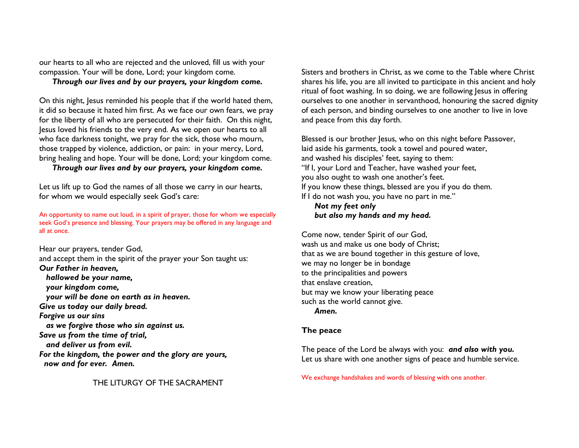our hearts to all who are rejected and the unloved, fill us with your compassion. Your will be done, Lord; your kingdom come.

# Through our lives and by our prayers, your kingdom come.

On this night, Jesus reminded his people that if the world hated them, it did so because it hated him first. As we face our own fears, we pray for the liberty of all who are persecuted for their faith. On this night, Jesus loved his friends to the very end. As we open our hearts to all who face darkness tonight, we pray for the sick, those who mourn, those trapped by violence, addiction, or pain: in your mercy, Lord, bring healing and hope. Your will be done, Lord; your kingdom come.

Through our lives and by our prayers, your kingdom come.

Let us lift up to God the names of all those we carry in our hearts, for whom we would especially seek God's care:

An opportunity to name out loud, in a spirit of prayer, those for whom we especially seek God's presence and blessing. Your prayers may be offered in any language and all at once.

Hear our prayers, tender God, and accept them in the spirit of the prayer your Son taught us: Our Father in heaven, hallowed be your name, your kingdom come, your will be done on earth as in heaven. Give us today our daily bread. Forgive us our sins as we forgive those who sin against us. Save us from the time of trial, and deliver us from evil. For the kingdom, the power and the glory are yours,now and for ever. Amen.

THE LITURGY OF THE SACRAMENT

Sisters and brothers in Christ, as we come to the Table where Christ shares his life, you are all invited to participate in this ancient and holy ritual of foot washing. In so doing, we are following Jesus in offering ourselves to one another in servanthood, honouring the sacred dignity of each person, and binding ourselves to one another to live in love and peace from this day forth.

Blessed is our brother Jesus, who on this night before Passover, laid aside his garments, took a towel and poured water, and washed his disciples' feet, saying to them: "If I, your Lord and Teacher, have washed your feet, you also ought to wash one another's feet. If you know these things, blessed are you if you do them. If I do not wash you, you have no part in me."

Not my feet only but also my hands and my head.

Come now, tender Spirit of our God, wash us and make us one body of Christ; that as we are bound together in this gesture of love, we may no longer be in bondage to the principalities and powers that enslave creation, but may we know your liberating peace such as the world cannot give. Amen.

# The peace

The peace of the Lord be always with you: and also with you. Let us share with one another signs of peace and humble service.

We exchange handshakes and words of blessing with one another.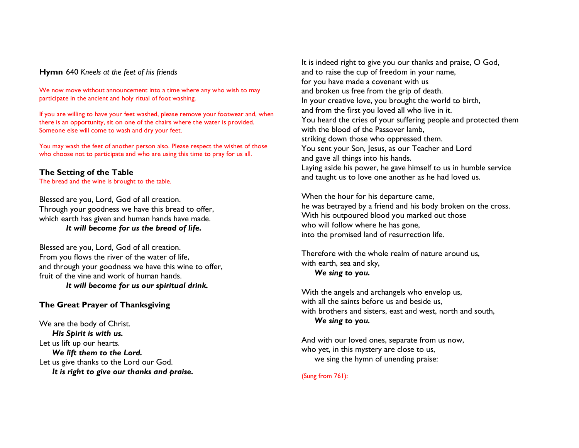#### Hymn 640 Kneels at the feet of his friends

We now move without announcement into a time where any who wish to may participate in the ancient and holy ritual of foot washing.

If you are willing to have your feet washed, please remove your footwear and, when there is an opportunity, sit on one of the chairs where the water is provided. Someone else will come to wash and dry your feet.

You may wash the feet of another person also. Please respect the wishes of those who choose not to participate and who are using this time to pray for us all.

# The Setting of the Table

The bread and the wine is brought to the table.

Blessed are you, Lord, God of all creation. Through your goodness we have this bread to offer, which earth has given and human hands have made. It will become for us the bread of life.

Blessed are you, Lord, God of all creation. From you flows the river of the water of life, and through your goodness we have this wine to offer, fruit of the vine and work of human hands. It will become for us our spiritual drink.

# The Great Prayer of Thanksgiving

We are the body of Christ. His Spirit is with us. Let us lift up our hearts. We lift them to the Lord. Let us give thanks to the Lord our God. It is right to give our thanks and praise. It is indeed right to give you our thanks and praise, O God, and to raise the cup of freedom in your name, for you have made a covenant with us and broken us free from the grip of death. In your creative love, you brought the world to birth, and from the first you loved all who live in it. You heard the cries of your suffering people and protected them with the blood of the Passover lamb, striking down those who oppressed them. You sent your Son, Jesus, as our Teacher and Lord and gave all things into his hands. Laying aside his power, he gave himself to us in humble service and taught us to love one another as he had loved us.

When the hour for his departure came, he was betrayed by a friend and his body broken on the cross. With his outpoured blood you marked out those who will follow where he has gone, into the promised land of resurrection life.

Therefore with the whole realm of nature around us,with earth, sea and sky, We sing to you.

With the angels and archangels who envelop us, with all the saints before us and beside us, with brothers and sisters, east and west, north and south,We sing to you.

And with our loved ones, separate from us now, who yet, in this mystery are close to us, we sing the hymn of unending praise:

(Sung from 761):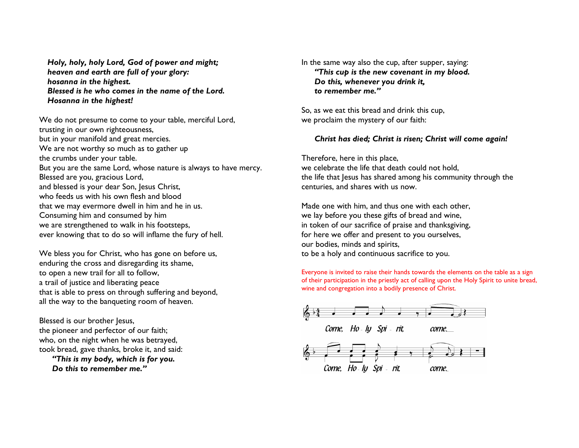Holy, holy, holy Lord, God of power and might; heaven and earth are full of your glory: hosanna in the highest. Blessed is he who comes in the name of the Lord. Hosanna in the highest!

We do not presume to come to your table, merciful Lord, trusting in our own righteousness, but in your manifold and great mercies. We are not worthy so much as to gather up the crumbs under your table. But you are the same Lord, whose nature is always to have mercy. Blessed are you, gracious Lord, and blessed is your dear Son, Jesus Christ, who feeds us with his own flesh and blood that we may evermore dwell in him and he in us. Consuming him and consumed by him we are strengthened to walk in his footsteps, ever knowing that to do so will inflame the fury of hell.

We bless you for Christ, who has gone on before us, enduring the cross and disregarding its shame, to open a new trail for all to follow, a trail of justice and liberating peace that is able to press on through suffering and beyond, all the way to the banqueting room of heaven.

Blessed is our brother Jesus, the pioneer and perfector of our faith; who, on the night when he was betrayed, took bread, gave thanks, broke it, and said: "This is my body, which is for you.

Do this to remember me."

In the same way also the cup, after supper, saying: "This cup is the new covenant in my blood. Do this, whenever you drink it, to remember me."

So, as we eat this bread and drink this cup, we proclaim the mystery of our faith:

## Christ has died; Christ is risen; Christ will come again!

Therefore, here in this place, we celebrate the life that death could not hold, the life that Jesus has shared among his community through the centuries, and shares with us now.

Made one with him, and thus one with each other, we lay before you these gifts of bread and wine, in token of our sacrifice of praise and thanksgiving, for here we offer and present to you ourselves, our bodies, minds and spirits, to be a holy and continuous sacrifice to you.

Everyone is invited to raise their hands towards the elements on the table as a sign of their participation in the priestly act of calling upon the Holy Spirit to unite bread, wine and congregation into a bodily presence of Christ.

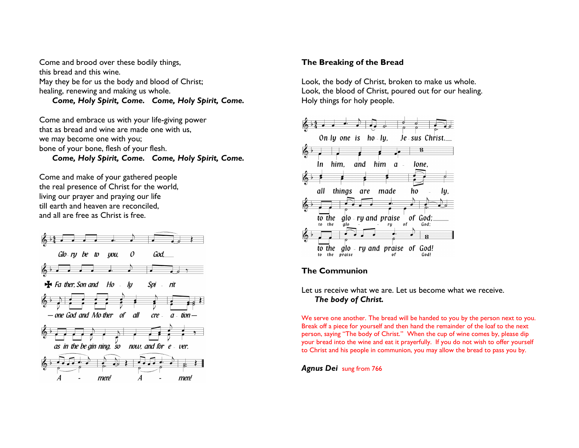Come and brood over these bodily things, this bread and this wine. May they be for us the body and blood of Christ; healing, renewing and making us whole. Come, Holy Spirit, Come. Come, Holy Spirit, Come.

Come and embrace us with your life-giving power that as bread and wine are made one with us, we may become one with you; bone of your bone, flesh of your flesh. Come, Holy Spirit, Come. Come, Holy Spirit, Come.

Come and make of your gathered people the real presence of Christ for the world, living our prayer and praying our life till earth and heaven are reconciled, and all are free as Christ is free.



# The Breaking of the Bread

Look, the body of Christ, broken to make us whole. Look, the blood of Christ, poured out for our healing. Holy things for holy people.



# The Communion

Let us receive what we are. Let us become what we receive. The body of Christ.

We serve one another. The bread will be handed to you by the person next to you. Break off a piece for yourself and then hand the remainder of the loaf to the next person, saying "The body of Christ." When the cup of wine comes by, please dip your bread into the wine and eat it prayerfully. If you do not wish to offer yourself to Christ and his people in communion, you may allow the bread to pass you by.

**Agnus Dei** sung from 766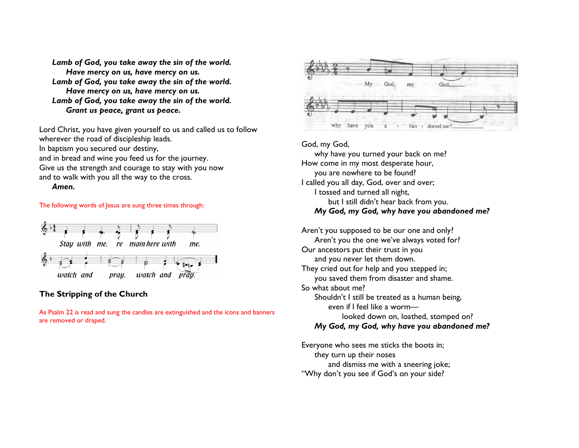Lamb of God, you take away the sin of the world. Have mercy on us, have mercy on us. Lamb of God, you take away the sin of the world. Have mercy on us, have mercy on us. Lamb of God, you take away the sin of the world. Grant us peace, grant us peace.

Lord Christ, you have given yourself to us and called us to follow wherever the road of discipleship leads. In baptism you secured our destiny, and in bread and wine you feed us for the journey. Give us the strength and courage to stay with you now and to walk with you all the way to the cross.

Amen.

#### The following words of Jesus are sung three times through:



# The Stripping of the Church

As Psalm 22 is read and sung the candles are extinguished and the icons and banners are removed or draped.



## God, my God,

 why have you turned your back on me? How come in my most desperate hour, you are nowhere to be found? I called you all day, God, over and over; I tossed and turned all night, but I still didn't hear back from you. My God, my God, why have you abandoned me?

Aren't you supposed to be our one and only? Aren't you the one we've always voted for? Our ancestors put their trust in you and you never let them down. They cried out for help and you stepped in; you saved them from disaster and shame. So what about me? Shouldn't I still be treated as a human being, even if I feel like a worm— looked down on, loathed, stomped on? My God, my God, why have you abandoned me?

Everyone who sees me sticks the boots in; they turn up their noses and dismiss me with a sneering joke; "Why don't you see if God's on your side?